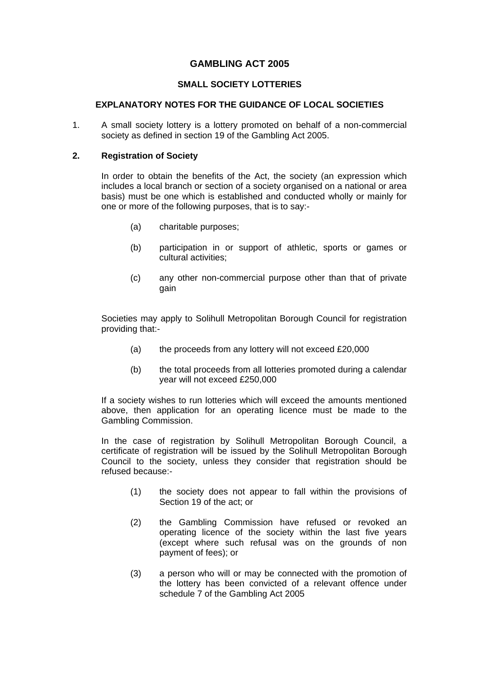# **GAMBLING ACT 2005**

# **SMALL SOCIETY LOTTERIES**

# **EXPLANATORY NOTES FOR THE GUIDANCE OF LOCAL SOCIETIES**

1. A small society lottery is a lottery promoted on behalf of a non-commercial society as defined in section 19 of the Gambling Act 2005.

#### **2. Registration of Society**

In order to obtain the benefits of the Act, the society (an expression which includes a local branch or section of a society organised on a national or area basis) must be one which is established and conducted wholly or mainly for one or more of the following purposes, that is to say:-

- (a) charitable purposes;
- (b) participation in or support of athletic, sports or games or cultural activities;
- (c) any other non-commercial purpose other than that of private gain

Societies may apply to Solihull Metropolitan Borough Council for registration providing that:-

- (a) the proceeds from any lottery will not exceed £20,000
- (b) the total proceeds from all lotteries promoted during a calendar year will not exceed £250,000

If a society wishes to run lotteries which will exceed the amounts mentioned above, then application for an operating licence must be made to the Gambling Commission.

In the case of registration by Solihull Metropolitan Borough Council, a certificate of registration will be issued by the Solihull Metropolitan Borough Council to the society, unless they consider that registration should be refused because:-

- (1) the society does not appear to fall within the provisions of Section 19 of the act; or
- (2) the Gambling Commission have refused or revoked an operating licence of the society within the last five years (except where such refusal was on the grounds of non payment of fees); or
- (3) a person who will or may be connected with the promotion of the lottery has been convicted of a relevant offence under schedule 7 of the Gambling Act 2005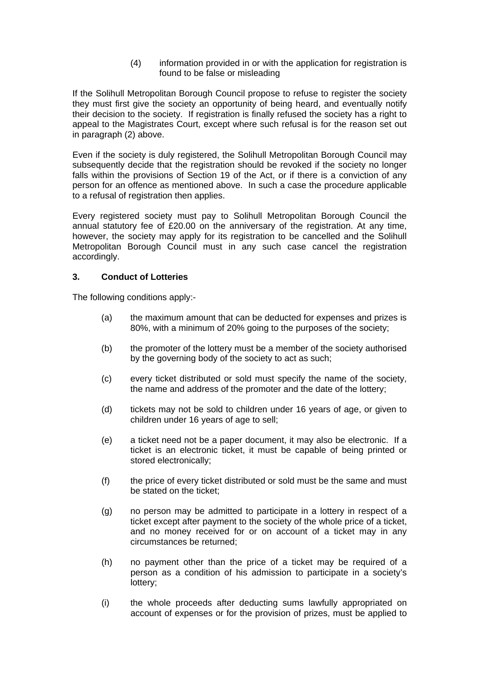(4) information provided in or with the application for registration is found to be false or misleading

If the Solihull Metropolitan Borough Council propose to refuse to register the society they must first give the society an opportunity of being heard, and eventually notify their decision to the society. If registration is finally refused the society has a right to appeal to the Magistrates Court, except where such refusal is for the reason set out in paragraph (2) above.

Even if the society is duly registered, the Solihull Metropolitan Borough Council may subsequently decide that the registration should be revoked if the society no longer falls within the provisions of Section 19 of the Act, or if there is a conviction of any person for an offence as mentioned above. In such a case the procedure applicable to a refusal of registration then applies.

Every registered society must pay to Solihull Metropolitan Borough Council the annual statutory fee of £20.00 on the anniversary of the registration. At any time, however, the society may apply for its registration to be cancelled and the Solihull Metropolitan Borough Council must in any such case cancel the registration accordingly.

# **3. Conduct of Lotteries**

The following conditions apply:-

- (a) the maximum amount that can be deducted for expenses and prizes is 80%, with a minimum of 20% going to the purposes of the society;
- (b) the promoter of the lottery must be a member of the society authorised by the governing body of the society to act as such;
- (c) every ticket distributed or sold must specify the name of the society, the name and address of the promoter and the date of the lottery;
- (d) tickets may not be sold to children under 16 years of age, or given to children under 16 years of age to sell;
- (e) a ticket need not be a paper document, it may also be electronic. If a ticket is an electronic ticket, it must be capable of being printed or stored electronically;
- (f) the price of every ticket distributed or sold must be the same and must be stated on the ticket;
- (g) no person may be admitted to participate in a lottery in respect of a ticket except after payment to the society of the whole price of a ticket, and no money received for or on account of a ticket may in any circumstances be returned;
- (h) no payment other than the price of a ticket may be required of a person as a condition of his admission to participate in a society's lottery;
- (i) the whole proceeds after deducting sums lawfully appropriated on account of expenses or for the provision of prizes, must be applied to